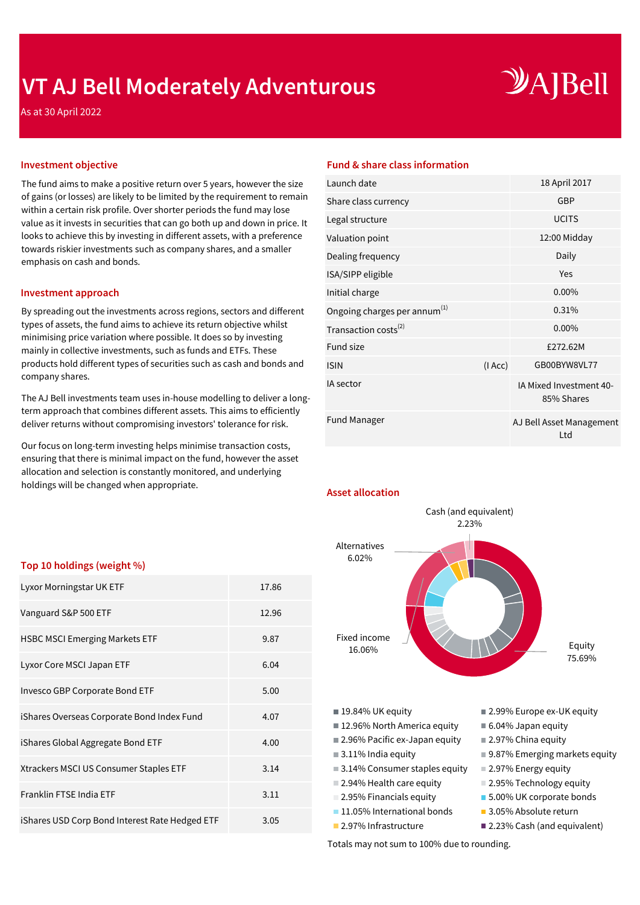## **VT AJ Bell Moderately Adventurous**

# $\mathcal{Y}$ A]Bell

As at 30 April 2022

The fund aims to make a positive return over 5 years, however the size of gains (or losses) are likely to be limited by the requirement to remain within a certain risk profile. Over shorter periods the fund may lose value as it invests in securities that can go both up and down in price. It looks to achieve this by investing in different assets, with a preference towards riskier investments such as company shares, and a smaller emphasis on cash and bonds.

#### **Investment approach**

By spreading out the investments across regions, sectors and different types of assets, the fund aims to achieve its return objective whilst minimising price variation where possible. It does so by investing mainly in collective investments, such as funds and ETFs. These products hold different types of securities such as cash and bonds and company shares.

The AJ Bell investments team uses in-house modelling to deliver a longterm approach that combines different assets. This aims to efficiently deliver returns without compromising investors' tolerance for risk.

Our focus on long-term investing helps minimise transaction costs, ensuring that there is minimal impact on the fund, however the asset allocation and selection is constantly monitored, and underlying holdings will be changed when appropriate.

#### **Investment objective Fund & share class information**

| Launch date                              |        | 18 April 2017                         |
|------------------------------------------|--------|---------------------------------------|
| Share class currency                     |        | <b>GBP</b>                            |
| Legal structure                          |        | <b>UCITS</b>                          |
| Valuation point                          |        | 12:00 Midday                          |
| Dealing frequency                        |        | Daily                                 |
| ISA/SIPP eligible                        |        | Yes                                   |
| Initial charge                           |        | $0.00\%$                              |
| Ongoing charges per annum <sup>(1)</sup> |        | 0.31%                                 |
| Transaction costs <sup>(2)</sup>         |        | $0.00\%$                              |
| <b>Fund size</b>                         |        | £272.62M                              |
| <b>ISIN</b>                              | (IAcc) | GB00BYW8VL77                          |
| <b>IA</b> sector                         |        | IA Mixed Investment 40-<br>85% Shares |
| <b>Fund Manager</b>                      |        | AJ Bell Asset Management<br>Ltd       |
|                                          |        |                                       |

**Asset allocation**



**11.05% International bonds** 3.05% Absolute return

#### ■ 2.97% Infrastructure ■ 2.23% Cash (and equivalent)

Totals may not sum to 100% due to rounding.

### **Top 10 holdings (weight %)**

| Lyxor Morningstar UK ETF                       | 17.86 |
|------------------------------------------------|-------|
| Vanguard S&P 500 ETF                           | 12.96 |
| <b>HSBC MSCI Emerging Markets ETF</b>          | 9.87  |
| Lyxor Core MSCI Japan ETF                      | 6.04  |
| Invesco GBP Corporate Bond ETF                 | 5.00  |
| iShares Overseas Corporate Bond Index Fund     | 4.07  |
| iShares Global Aggregate Bond ETF              | 4.00  |
| Xtrackers MSCI US Consumer Staples ETF         | 3.14  |
| Franklin FTSE India ETF                        | 3.11  |
| iShares USD Corp Bond Interest Rate Hedged ETF | 3.05  |